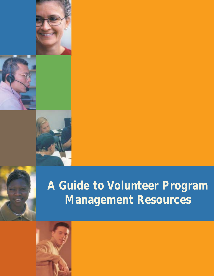





# **A Guide to Volunteer Program Management Resources**

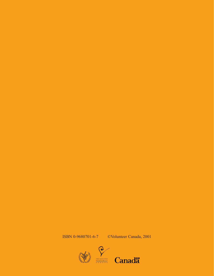ISBN 0-9680701-6-7 ©Volunteer Canada, 2001

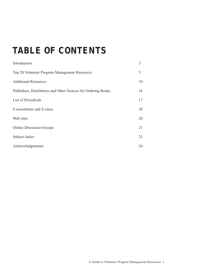# **TABLE OF CONTENTS**

| Introduction                                                  | 3  |
|---------------------------------------------------------------|----|
| Top 20 Volunteer Program Management Resources                 | 5  |
| <b>Additional Resources</b>                                   | 10 |
| Publishers, Distributors and Other Sources for Ordering Books | 16 |
| List of Periodicals                                           | 17 |
| E-newsletters and E-zines                                     | 20 |
| Web sites                                                     | 20 |
| <b>Online Discussion Groups</b>                               | 21 |
| Subject Index                                                 | 23 |
| Acknowledgements                                              | 24 |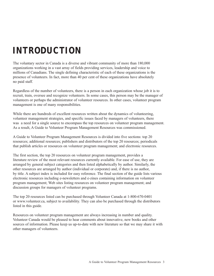# **INTRODUCTION**

The voluntary sector in Canada is a diverse and vibrant community of more than 180,000 organizations working in a vast array of fields providing services, leadership and voice to millions of Canadians. The single defining characteristic of each of these organizations is the presence of volunteers. In fact, more than 40 per cent of these organizations have absolutely no paid staff.

Regardless of the number of volunteers, there is a person in each organization whose job it is to recruit, train, oversee and recognize volunteers. In some cases, this person may be the manager of volunteers or perhaps the administrator of volunteer resources. In other cases, volunteer program management is one of many responsibilities.

While there are hundreds of excellent resources written about the dynamics of volunteering, volunteer management strategies, and specific issues faced by managers of volunteers, there was a need for a single source to encompass the top resources on volunteer program management. As a result, A Guide to Volunteer Program Management Resources was commissioned.

A Guide to Volunteer Program Management Resources is divided into five sections: top 20 resources; additional resources; publishers and distributors of the top 20 resources; periodicals that publish articles or resources on volunteer program management; and electronic resources.

The first section, the top 20 resources on volunteer program management, provides a literature review of the most relevant resources currently available. For ease of use, they are arranged by general subject categories and then listed alphabetically by author. Similarly, the other resources are arranged by author (individual or corporate) and, if there is no author, by title. A subject index is included for easy reference. The final section of the guide lists various electronic resources including e-newsletters and e-zines containing information on volunteer program management; Web sites listing resources on volunteer program management; and discussion groups for managers of volunteer programs.

The top 20 resources listed can be purchased through Volunteer Canada at 1-800-670-0401 or www.volunteer.ca, subject to availability. They can also be purchased through the distributors listed in this guide.

Resources on volunteer program management are always increasing in number and quality. Volunteer Canada would be pleased to hear comments about innovative, new books and other sources of information. Please keep us up-to-date with new literature so that we may share it with other managers of volunteers.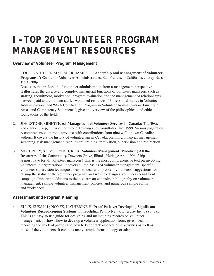# **I - TOP 20 VOLUNTEER PROGRAM MANAGEMENT RESOURCES**

# **Overview of Volunteer Program Management**

1. COLE, KATHLEEN M.; FISHER, JAMES C. **Leadership and Management of Volunteer Programs: A Guide for Volunteer Administrators.** San Francisco, California, Jossey-Bass. 1993. 208p.

Discusses the profession of volunteer administration from a management perspective. It illustrates the diverse and complex managerial functions of volunteer managers such as staffing, recruitment, motivation, program evaluation and the management of relationships between paid and volunteer staff. Two added resources, "Professional Ethics in Volunteer Administration" and "AVA Certification Program in Volunteer Administration: Functional Areas and Competency Statements", give an overview of the philosophical and ethical foundations of the field.

- 2. JOHNSTONE, GINETTE, ed. **Management of Volunteer Services in Canada: The Text.** 2nd edition. Carp, Ontario, Johnstone Training and Consultation Inc. 1999. Various pagination. A comprehensive introductory text with contributions from nine well-known Canadian authors. It covers the history of volunteerism in Canada, planning, financial management, screening, risk management, recruitment, training, motivation, supervision and redirection.
- 3. MCCURLEY, STEVE; LYNCH, RICK. **Volunteer Management: Mobilizing All the Resources of the Community.** Downers Grove, Illinois, Heritage Arts. 1996. 236p. A must have for all volunteer managers! This is the most comprehensive text on involving volunteers in organizations. It covers all the basics of volunteer management, specific volunteer supervision techniques, ways to deal with problem volunteers, suggestions for raising the status of the volunteer program, and ways to design a volunteer recruitment campaign. Important additions to the text are: an extensive bibliography on volunteer management, sample volunteer management policies, and numerous sample forms and worksheets.

# **Assessment and Program Planning**

4. ELLIS, SUSAN J.; NOYES, KATHERINE H. **Proof Positive: Developing Significant Volunteer Recordkeeping Systems.** Philadelphia, Pennsylvania, Energize Inc. 1990. 58p. This is an easy-to-use guide for designing and maintaining records on volunteer management. It shows how to develop a volunteer application form, gives ideas for recording the work of groups and how to keep track of one's own activities as well as those of the volunteers. It contains many sample forms to copy or adapt.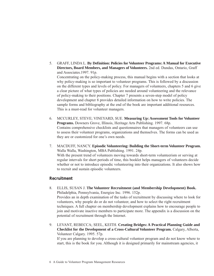- 5. GRAFF, LINDA L. **By Definition: Policies for Volunteer Programs: A Manual for Executive Directors, Board Members, and Managers of Volunteers.** 2nd ed. Dundas, Ontario, Graff and Associates.1997. 91p. Concentrating on the policy-making process, this manual begins with a section that looks at why policy-making is so important to volunteer programs. This is followed by a discussion on the different types and levels of policy. For managers of volunteers, chapters 5 and 6 give a clear picture of what types of policies are needed around volunteering and the relevance of policy-making to their positions. Chapter 7 presents a seven-step model of policy development and chapter 8 provides detailed information on how to write policies. The sample forms and bibliography at the end of the book are important additional resources. This is a must-read for volunteer managers.
- 6. MCCURLEY, STEVE; VINEYARD, SUE. **Measuring Up: Assessment Tools for Volunteer Programs.** Downers Grove, Illinois, Heritage Arts Publishing. 1997. 68p. Contains comprehensive checklists and questionnaires that managers of volunteers can use to assess their volunteer programs, organizations and themselves. The forms can be used as they are or customized for one's own needs.
- 7. MACDUFF, NANCY. **Episodic Volunteering: Building the Short-term Volunteer Program.** Walla Walla, Washington, MBA Publishing. 1991. 24p. With the present trend of volunteers moving towards short-term volunteerism or serving at regular intervals for short periods of time, this booklet helps managers of volunteers decide whether or not to introduce episodic volunteering into their organizations. It also shows how to recruit and sustain episodic volunteers.

#### **Recruitment**

- 8. ELLIS, SUSAN J. **The Volunteer Recruitment (and Membership Development) Book.** Philadelphia, Pennsylvania, Energize Inc. 1996. 152p. Provides an in depth examination of the tasks of recruitment by discussing where to look for volunteers, why people do or do not volunteer, and how to select the right recruitment techniques. A full chapter on membership development explains how to encourage people to join and motivate inactive members to participate more. The appendix is a discussion on the potential of recruitment through the Internet.
- 9. LEVANT, REBECCA; SEEL, KEITH. **Creating Bridges: A Practical Planning Guide and Checklist for the Development of a Cross-Cultural Volunteer Program.** Calgary, Alberta, Volunteer Calgary. 1995. 57p. If you are planning to develop a cross-cultural volunteer program and do not know where to start, this is the book for you. Although it is designed primarily for mainstream agencies, it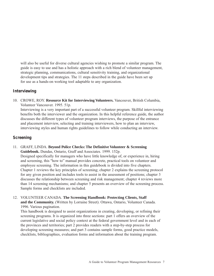will also be useful for diverse cultural agencies wishing to promote a similar program. The guide is easy to use and has a holistic approach with a rich blend of volunteer management, strategic planning, communications, cultural sensitivity training, and organizational development tips and strategies. The 11 steps described in the guide have been set up for use as a hands-on working tool adaptable to any organization.

### **Interviewing**

10. CROWE, ROY. **Resource Kit for Interviewing Volunteers.** Vancouver, British Columbia, Volunteer Vancouver. 1995. 51p.

Interviewing is a very important part of a successful volunteer program. Skillful interviewing benefits both the interviewer and the organization. In this helpful reference guide, the author discusses the different types of volunteer program interviews, the purpose of the entrance and placement interview, selecting and training interviewers, how to plan an interview, interviewing styles and human rights guidelines to follow while conducting an interview.

### **Screening**

- 11. GRAFF, LINDA. **Beyond Police Checks: The Definitive Volunteer & Screening Guidebook.** Dundas, Ontario, Graff and Associates. 1999. 152p. Designed specifically for managers who have little knowledge of, or experience in, hiring and screening, this "how to" manual provides concrete, practical tools on volunteer and employee screening. The information in this guidebook is divided into five chapters. Chapter 1 reviews the key principles of screening; chapter 2 explains the screening protocol for any given position and includes tools to assist in the assessment of positions; chapter 3 discusses the relationship between screening and risk management; chapter 4 reviews more than 14 screening mechanisms; and chapter 5 presents an overview of the screening process. Sample forms and checklists are included.
- 12. VOLUNTEER CANADA. **The Screening Handbook: Protecting Clients, Staff and the Community.** (Written by Lorraine Street). Ottawa, Ontario, Volunteer Canada. 1996. Various pagination.

This handbook is designed to assist organizations in creating, developing, or refining their screening programs. It is organized into three sections: part 1 offers an overview of the current legislative and social policy context at the federal government level and in each of the provinces and territories; part 2 provides readers with a step-by-step process for developing screening measures; and part 3 contains sample forms, good practice models, checklists, bibliographies, evaluation forms and information about the training program.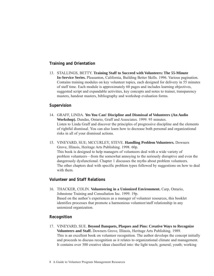### **Training and Orientation**

13. STALLINGS, BETTY. **Training Staff to Succeed with Volunteers: The 55-Minute In-Service Series.** Pleasanton, California, Building Better Skills. 1996. Various pagination. Contains training modules on key volunteer topics, each designed for delivery in 55 minutes of staff time. Each module is approximately 60 pages and includes learning objectives, suggested script and expandable activities, key concepts and notes to trainer, transparency masters, handout masters, bibliography and workshop evaluation forms.

#### **Supervision**

- 14. GRAFF, LINDA. **Yes You Can! Discipline and Dismissal of Volunteers (An Audio Workshop).** Dundas, Ontario, Graff and Associates. 1999. 95 minutes. Listen to Linda Graff and discover the principles of progressive discipline and the elements of rightful dismissal. You can also learn how to decrease both personal and organizational risks in all of your dismissal actions.
- 15. VINEYARD, SUE; MCCURLEY, STEVE. **Handling Problem Volunteers.** Downers Grove, Illinois, Heritage Arts Publishing. 1998. 60p. This book is designed to help managers of volunteers deal with a wide variety of problem volunteers—from the somewhat annoying to the seriously disruptive and even the dangerously dysfunctional. Chapter 1 discusses the myths about problem volunteers. The other chapters deal with specific problem types followed by suggestions on how to deal with them.

### **Volunteer and Staff Relations**

16. THACKER, COLIN. **Volunteering in a Unionized Environment.** Carp, Ontario, Johnstone Training and Consultation Inc. 1999. 19p. Based on the author's experiences as a manager of volunteer resources, this booklet identifies processes that promote a harmonious volunteer/staff relationship in any unionized organization.

### **Recognition**

17. VINEYARD, SUE. **Beyond Banquets, Plaques and Pins: Creative Ways to Recognize Volunteers and Staff.** Downers Grove, Illinois, Heritage Arts Publishing. 1989. This is an excellent book on volunteer recognition. The author develops the concept initially and proceeds to discuss recognition as it relates to organizational climate and management. It contains over 300 creative ideas classified into: the light touch; general; youth; working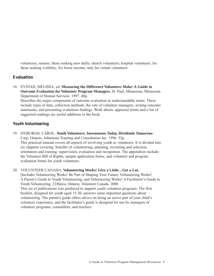volunteers; seniors; those seeking new skills; church volunteers; hospital volunteers; for those seeking visibility; for lower income; and, for virtual volunteers.

# **Evaluation**

18. EYSTAD, MELISSA, ed. **Measuring the Difference Volunteers Make: A Guide to Outcome Evaluation for Volunteer Program Managers.** St. Paul, Minnesota, Minnesota Department of Human Services. 1997. 40p.

Describes the major components of outcome evaluation in understandable terms. These include types of data, collection methods, the role of volunteer managers, writing outcome statements, and presenting evaluation findings. Work sheets, appraisal forms and a list of suggested readings are useful additions to the book.

# **Youth Volunteering**

19. DYBURGH, CAROL. **Youth Volunteers: Investments Today, Dividends Tomorrow**. Carp, Ontario, Johnstone Training and Consultation Inc. 1996. 32p. This practical manual covers all aspects of involving youth as volunteers. It is divided into six chapters covering: benefits of volunteering; planning; recruiting and selection; orientation and training; supervision; evaluation and recognition. The appendices include: the Volunteer Bill of Rights, sample application forms, and volunteer and program evaluation forms for youth volunteers.

20. VOLUNTEER CANADA. **Volunteering Works! Give a Little…Get a Lot.** [Includes Volunteering Works! Be Part of Shaping Your Future; Volunteering Works! A Parent's Guide to Youth Volunteering; and Volunteering Works! A Facilitator's Guide to Youth Volunteering. ] Ottawa, Ontario, Volunteer Canada. 2000. This set of publications was produced to support youth volunteer programs. The first booklet, designed for youth aged 15-30, answers some important questions about volunteering. The parent's guide offers advice on being an active part of your child's volunteer experience, and the facilitator's guide is designed for use by managers of volunteer programs, counsellors, and teachers.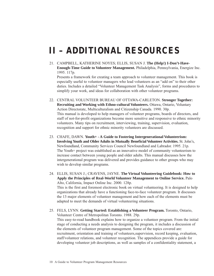# **II – ADDITIONAL RESOURCES**

21. CAMPBELL, KATHERINE NOYES; ELLIS, SUSAN J. **The (Help!) I-Don't-Have-Enough-Time Guide to Volunteer Management.** Philadelphia, Pennsylvania, Energize Inc. 1995. 117p. Presents a framework for creating a team approach to volunteer management. This book is especially useful to volunteer managers who lead volunteers as an "add on" to their other

duties. Includes a detailed "Volunteer Management Task Analysis", forms and procedures to simplify your work, and ideas for collaboration with other volunteer programs.

- 22. CENTRAL VOLUNTEER BUREAU OF OTTAWA-CARLETON. **Stronger Together: Recruiting and Working with Ethno-cultural Volunteers.** Ottawa, Ontario, Voluntary Action Directorate, Multiculturalism and Citizenship Canada. 1990. 30p. This manual is developed to help managers of volunteer programs, boards of directors, and staff of not-for-profit organizations become more sensitive and responsive to ethnic minority volunteers. Many tips on recruitment, interviewing, training, supervision, evaluation, recognition and support for ethnic minority volunteers are discussed.
- 23. CHAFE, DAWN. **Youth+ A Guide to Fostering Intergenerational Volunteerism: Involving Youth and Older Adults in Mutually Beneficial Volunteer Activities.** St. John's, Newfoundland, Community Services Council Newfoundland and Labrador. 1995. 21p. The Youth+ project was established as an innovative model of community volunteerism to increase contact between young people and older adults. This manual discusses how the intergenerational program was delivered and provides guidance to other groups who may wish to develop similar programs.

24. ELLIS, SUSAN J.; CRAVENS, JAYNE. **The Virtual Volunteering Guidebook: How to Apply the Principles of Real-World Volunteer Management to Online Service.** Palo Alto, California, Impact Online Inc. 2000. 128p. This is the first and foremost electronic book on virtual volunteering. It is designed to help organizations that already have a functioning face-to-face volunteer program. It discusses the 13 major elements of volunteer management and how each of the elements must be adapted to meet the demands of virtual volunteering situations.

25. FELS, LYNN. **Getting Started: Establishing a Volunteer Program.** Toronto, Ontario, Volunteer Centre of Metropolitan Toronto. 1988. 29p. This easy-to-read handbook explains how to organize a volunteer program. From the initial stage of conducting a needs analysis to designing the program, it includes a discussion of the elements of volunteer program management. Some of the topics covered are: recruitment, orientation and training of volunteers,supervision, record keeping, evaluation, staff/volunteer relations, and volunteer recognition. The appendices provide a guide for developing volunteer job descriptions, as well as samples of a confidentiality statement, a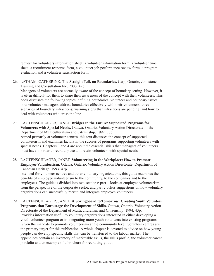request for volunteers information sheet, a volunteer information form, a volunteer time sheet, a recruitment response form, a volunteer job performance review form, a program evaluation and a volunteer satisfaction form.

26. LATHAM, CATHERINE. **The Straight Talk on Boundaries.** Carp, Ontario, Johnstone Training and Consultation Inc. 2000. 49p. Managers of volunteers are normally aware of the concept of boundary setting. However, it is often difficult for them to share their awareness of the concept with their volunteers. This book discusses the following topics: defining boundaries; volunteer and boundary issues; how volunteer managers address boundaries effectively with their volunteers; three scenarios of boundary infractions; warning signs that infractions are pending; and how to

27. LAUTENSCHLAGER, JANET. **Bridges to the Future: Supported Programs for Volunteers with Special Needs.** Ottawa, Ontario, Voluntary Action Directorate of the Department of Multiculturalism and Citizenship. 1992. 38p. Aimed primarily at volunteer centres, this text discusses the concept of supported volunteerism and examines factors in the success of programs supporting volunteers with special needs. Chapters 3 and 4 are about the essential skills that managers of volunteers must have in order to recruit, place and retain volunteers with special needs.

deal with volunteers who cross the line.

28. LAUTENSCHLAGER, JANET. **Volunteering in the Workplace: How to Promote Employee Volunteerism.** Ottawa, Ontario, Voluntary Action Directorate, Department of Canadian Heritage. 1993. 47p.

Intended for volunteer centres and other voluntary organizations, this guide examines the benefits of employee volunteerism to the community, to the companies and to the employees. The guide is divided into two sections: part 1 looks at employee volunteerism from the perspective of the corporate sector, and part 2 offers suggestions on how voluntary organizations can successfully recruit and integrate employee volunteers.

29. LAUTENSCHLAGER, JANET. **A Springboard to Tomorrow: Creating Youth Volunteer Programs that Encourage the Development of Skills.** Ottawa, Ontario, Voluntary Action Directorate of the Department of Multiculturalism and Citizenship. 1994. 43p. Provides information useful to voluntary organizations interested in either developing a youth volunteer program or in integrating more youth volunteers into existing programs. Given the mandate to promote volunteerism at the community level, volunteer centres are the primary target for this publication. A whole chapter is devoted to advice on how young people can develop specific skills that can be transferred to the labour market. The appendices contain an inventory of marketable skills, the skills profile, the volunteer career portfolio and an example of a brochure for recruiting youth.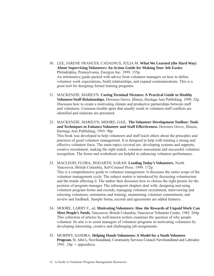- 30. LEE, JARENE FRANCES; CATAGNUS, JULIA M. **What We Learned (the Hard Way) About Supervising Volunteers: An Action Guide for Making Your Job Easier.** Philadelphia, Pennsylvania, Energize Inc. 1999. 155p. An informative guide packed with advice from volunteer managers on how to define volunteer work expectations, build relationships, and expand communications. This is a great tool for designing formal training programs.
- 31. MACKENZIE, MARILYN. **Curing Terminal Niceness: A Practical Guide to Healthy Volunteer/Staff Relationships.** Downers Grove, Illinois, Heritage Arts Publishing. 1990. 32p. Discusses how to create a motivating climate and productive partnerships between staff and volunteers. Common trouble spots that usually result in volunteer-staff conflicts are identified and solutions are presented.
- 32. MACKENZIE, MARILYN; MOORE, GAIL. **The Volunteer Development Toolbox: Tools and Techniques to Enhance Volunteer and Staff Effectiveness.** Downers Grove, Illinois, Heritage Arts Publishing. 1993. 90p. This book was developed to help volunteers and staff teach others about the principles and practices of good volunteer management. It is designed to help with training a strong and effective volunteer force. The main topics covered are: developing systems and supports, creative recruitment, making the right match, volunteer assessment and successful volunteer recognition. The forms and worksheets are helpful in enhancing volunteer performance.
- 33. MACLEOD, FLORA; HOGARTH, SARAH. **Leading Today's Volunteers.** North Vancouver, British Columbia, Self-Counsel Press. 1999. 172p. This is a comprehensive guide to volunteer management. It discusses the entire scope of the volunteer management cycle. The subject matter is introduced by discussing volunteerism and the trends affecting it. The author then discusses how to choose the right person for the position of program manager. The subsequent chapters deal with: designing and using volunteer program forms and records, managing volunteer recruitment, interviewing and selecting volunteers, orientation and training, maintaining volunteer commitment, and review and feedback. Sample forms, records and agreements are added features.
- 34. MOORE, LARRY F., ed. **Motivating Volunteers: How the Rewards of Unpaid Work Can Meet People's Needs.** Vancouver, British Columbia, Vancouver Volunteer Centre. 1985. 264p. This collection of articles by well-known writers examines the question of why people volunteer. Its aim is to assist managers of volunteer programs in motivating volunteers by developing interesting, creative and challenging job assignments.
- 35. MURPHY, SANDRA. **Helping Hands Volunteens: A Model for a Youth Volunteer Program.** St. John's, Newfoundland, Community Services Council Newfoundland and Labrador. 1991. 24p.  $+$  appendices.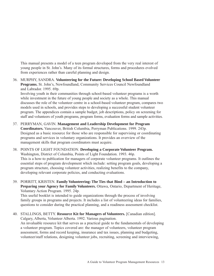This manual presents a model of a teen program developed from the very real interest of young people in St. John's. Many of its formal structures, forms and procedures evolved from experiences rather than careful planning and design.

36. MURPHY, SANDRA. **Volunteering for the Future: Developing School Based Volunteer Programs.** St. John's, Newfoundland, Community Services Council Newfoundland and Labrador. 1995. 69p.

Involving youth in their communities through school-based volunteer programs is a worth while investment in the future of young people and society as a whole. This manual discusses the role of the volunteer centre in a school-based volunteer program, compares two models used in schools, and provides steps to developing a successful student volunteer program. The appendices contain a sample budget, job descriptions, policy on screening for staff and volunteers of youth programs, program forms, evaluation forms and sample activities.

- 37. PERRYMAN, GAVIN. **Management and Leadership Development for Program Coordinators.** Vancouver, British Columbia, Perryman Publications. 1999. 243p. Designed as a basic resource for those who are responsible for supervising or coordinating programs and services in voluntary organizations. It provides an overview of the management skills that program coordinators must acquire.
- 38. POINTS OF LIGHT FOUNDATION. **Developing a Corporate Volunteer Program.** Washington, District of Columbia, Points of Light Foundation. 1993. 46p. This is a how-to publication for managers of corporate volunteer programs. It outlines the essential steps of program development which include: setting program goals, developing a program structure, choosing volunteer activities, realizing benefits to the company, developing relevant corporate policies, and conducting evaluations.
- 39. PORRITT, KRISTEN. **Family Volunteering: The Ties that Bind an Introduction to Preparing your Agency for Family Volunteers.** Ottawa, Ontario, Department of Heritage, Voluntary Action Program. 1995. 24p.

This useful booklet is intended to guide organizations through the process of involving family groups in programs and projects. It includes a list of volunteering ideas for families, questions to consider during the practical planning, and a readiness assessment checklist.

40. STALLINGS, BETTY. **Resource Kit for Managers of Volunteers.** [Canadian edition]. Calgary, Alberta, Volunteer Alberta. 1992. Various pagination. An invaluable resource kit that serves as a practical guide to the fundamentals of developing a volunteer program. Topics covered are: the manager of volunteers, volunteer program assessment, forms and record keeping, insurance and tax issues, planning and budgeting, volunteer/staff relations, designing volunteer jobs, recruiting, screening and interviewing,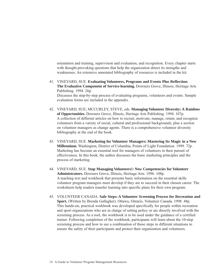orientation and training, supervision and evaluation, and recognition. Every chapter starts with thought-provoking questions that help the organization detect its strengths and weaknesses. An extensive annotated bibliography of resources is included in the kit.

- 41. VINEYARD, SUE. **Evaluating Volunteers, Programs and Events Plus Reflection: The Evaluative Component of Service-learning.** Downers Grove, Illinois, Heritage Arts Publishing. 1994. 26p. Discusses the step-by-step process of evaluating programs, volunteers and events. Sample evaluation forms are included in the appendix.
- 42. VINEYARD, SUE; MCCURLEY, STEVE, eds. **Managing Volunteer Diversity: A Rainbow of Opportunities.** Downers Grove, Illinois, Heritage Arts Publishing. 1994. 107p. A collection of different articles on how to recruit, motivate, manage, retain, and recognize volunteers from a variety of social, cultural and professional backgrounds, plus a section on volunteer managers as change agents. There is a comprehensive volunteer diversity bibliography at the end of the book.
- 43. VINEYARD, SUE. **Marketing for Volunteer Managers: Mastering Its Magic in a New Millennium.** Washington, District of Columbia, Points of Light Foundation. 1999. 72p. Marketing has become an essential tool for managers of volunteers in their pursuit of effectiveness. In this book, the author discusses the basic marketing principles and the process of marketing.
- 44. VINEYARD, SUE. **Stop Managing Volunteers!: New Competencies for Volunteer Administrators.** Downers Grove, Illinois, Heritage Arts. 1996. 108p. A teaching text and workbook that presents basic information on the essential skills volunteer program managers must develop if they are to succeed in their chosen career. The worksheets help readers transfer learning into specific plans for their own program.
- 45. VOLUNTEER CANADA. **Safe Steps: A Volunteer Screening Process for Recreation and Sport.** (Written by Brenda Gallagher). Ottawa, Ontario, Volunteer Canada. 1998. 48p. This hands-on, practical workbook was developed specifically for people within recreation and sport organizations who are in charge of setting policy or are directly involved with the screening process. As a tool, the workbook is to be used under the guidance of a certified trainer. Following completion of the workbook, participants will learn about the 10-step screening process and how to use a combination of those steps in different situations to ensure the safety of their participants and protect their organization and volunteers.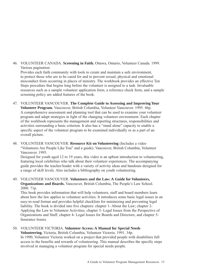46. VOLUNTEER CANADA. **Screening in Faith.** Ottawa, Ontario, Volunteer Canada. 1999. Various pagination.

Provides each faith community with tools to create and maintain a safe environment, to protect those who are to be cared for and to prevent sexual, physical and emotional misconduct from occurring in places of ministry. The workbook provides an effective Ten Steps procedure that begins long before the volunteer is assigned to a task. Invaluable resources such as a sample volunteer application form, a reference check form, and a sample screening policy are added features of the book.

- 47. VOLUNTEER VANCOUVER. **The Complete Guide to Assessing and Improving Your Volunteer Program.** Vancouver, British Columbia, Volunteer Vancouver. 1995. 46p. A comprehensive assessment and planning tool that can be used to examine your volunteer program and adapt strategies in light of the changing volunteer environment. Each chapter of the workbook represents the management and reporting structures, responsibilities and activities surrounding a basic criterion. It also has a "stand alone" capacity to enable a specific aspect of the volunteer program to be examined individually or as a part of an overall picture.
- 48. VOLUNTEER VANCOUVER. **Resource Kit on Volunteering** (Includes a video "Volunteers Are People Like You" and a guide). Vancouver, British Columbia, Volunteer Vancouver. 1995.

Designed for youth aged 12 to 19 years, this video is an upbeat introduction to volunteering, featuring local celebrities who talk about their volunteer experiences. The accompanying guide provides the teacher/leader with a variety of activity ideas and handouts designed for a range of skill levels. Also includes a bibliography on youth volunteering.

49. VOLUNTEER VANCOUVER. **Volunteers and the Law: A Guide for Volunteers, Organizations and Boards.** Vancouver, British Columbia, The People's Law School. 2000. 71p.

This book provides information that will help volunteers, staff and board members learn about how the law applies to volunteer activities. It introduces some basic legal issues in an easy-to-read format and provides helpful checklists for minimizing and preventing legal liability. The book is divided into five chapters: chapter 1- About the Law; chapter 2- Applying the Law to Volunteer Activities; chapter 3- Legal Issues from the Perspective of Organizations and Staff; chapter 4- Legal Issues for Boards and Directors; and chapter 5- Insurance Issues.

50. VOLUNTEER VICTORIA. **Volunteer Access: A Manual for Special Needs Volunteering.** Victoria, British Columbia, Volunteer Victoria. 1991. 34p. In 1990, Volunteer Victoria worked on a project that provided people with disabilities full access to the benefits and rewards of volunteering. This manual describes the specific steps involved in managing a volunteer program for special needs people.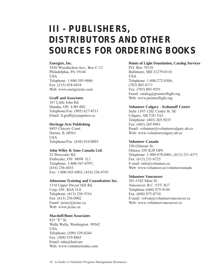# **III - PUBLISHERS, DISTRIBUTORS AND OTHER SOURCES FOR ORDERING BOOKS**

#### **Energize, Inc.**

5450 Wissahickon Ave., Box C-13 Philadelphia, PA 19144 USA Telephone: 1-800-395-9800 Fax: (215) 438-0434 Web: www.energizeinc.com

#### **Graff and Associates**

167 Little John Rd. Dundas, ON L9H 4H2 Telephone/Fax: (905) 627-8511 Email: ll.graff@sympatico.ca

#### **Heritage Arts Publishing**

8493 Chicory Court Darien, IL 60561 USA Telephone/Fax: (630) 910-0095

#### **John Wiley & Sons Canada Ltd.**

22 Worcester Rd. Etobicoke, ON M9W 1L1 Telephone: 1-800-567-4797; (416) 236-4433 Fax: 1-800-565-6802; (416) 236-8743

#### **Johnstone Training and Consultation Inc.**

1310 Upper Dwyer Hill Rd. Carp, ON K0A 1L0 Telephone: (613) 256-5516 Fax: (613) 256-0902 Email: jtcinc@jtcinc.ca Web: www.jtcinc.ca

#### **Macduff/Bunt Associates**

925 "E" St. Walla Walla, Washington 99362 USA Telephone: (509) 529-0244 Fax: (509) 529-8865 Email: mba@bml.net Web: www.volunteertoday.com

# **Points of Light Foundation, Catalog Services**

P.O. Box 79110 Baltimore, MD 21279-0110 **USA** Telephone: 1-800-272-8306; (703) 803-8171 Fax: (703) 803-9291 Email: catalog@pointsoflight.org Web: www.pointsoflight.org

#### **Volunteer Calgary - Kahanoff Centre**

Suite 1107-1202 Centre St. SE Calgary, AB T2G 5A5 Telephone: (403) 265-5633 Fax: (403) 265-8981 Email: volunteer@volunteercalgary.ab.ca Web: www.volunteercalgary.ab.ca

#### **Volunteer Canada**

330 Gilmour St. Ottawa, ON K2P OP8 Telephone: 1-800-670-0401; (613) 231-4371 Fax: (613) 231-6725 E-mail: info@volunteer.ca Web: www.volunteer.ca/volunteercanada

#### **Volunteer Vancouver**

301-3102 Main St. Vancouver, B.C. V5T 3G7 Telephone (604) 875-9144 Fax: (604) 875-0710 E-mail: volvan@volunteervancouver.ca Web: www.volunteervancouver.ca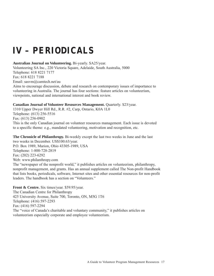# **IV – PERIODICALS**

**Australian Journal on Volunteering.** Bi-yearly. \$A25/year.

Volunteering SA Inc., 220 Victoria Square, Adelaide, South Australia, 5000 Telephone: 618 8221 7177 Fax: 618 8221 7188 Email: sasvm@camtech.net/au Aims to encourage discussion, debate and research on contemporary issues of importance to volunteering in Australia. The journal has four sections: feature articles on volunteerism, viewpoints, national and international interest and book review.

**Canadian Journal of Volunteer Resources Management.** Quarterly. \$23/year.

1310 Upper Dwyer Hill Rd., R.R. #2, Carp, Ontario, K0A 1L0 Telephone: (613) 256-5516 Fax: (613) 256-0902 This is the only Canadian journal on volunteer resources management. Each issue is devoted to a specific theme: e.g., mandated volunteering, motivation and recognition, etc.

**The Chronicle of Philanthropy.** Bi-weekly except the last two weeks in June and the last two weeks in December. US\$100.63/year. P.O. Box 1989, Marion, Ohio 43305-1989, USA Telephone: 1-800-728-2819 Fax: (202) 223-6292 Web: www.philanthropy.com The "newspaper of the nonprofit world," it publishes articles on volunteerism, philanthropy, nonprofit management, and grants. Has an annual supplement called The Non-profit Handbook that lists books, periodicals, software, Internet sites and other essential resources for non-profit leaders. The handbook has a section on "Volunteers."

**Front & Centre.** Six times/year. \$59.95/year.

The Canadian Centre for Philanthropy 425 University Avenue, Suite 700, Toronto, ON, M5G 1T6 Telephone: (416) 597-2293 Fax: (416) 597-2294 The "voice of Canada's charitable and voluntary community," it publishes articles on volunteerism especially corporate and employee volunteerism.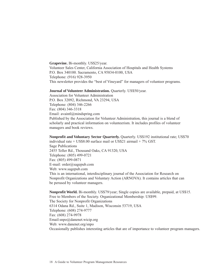**Grapevine.** Bi-monthly. US\$25/year. Volunteer Sales Center, California Association of Hospitals and Health Systems P.O. Box 340100. Sacramento, CA 95834-0100, USA Telephone: (916) 928-3950 This newsletter provides the "best of Vineyard" for managers of volunteer programs.

#### **Journal of Volunteer Administration.** Quarterly. US\$50/year.

Association for Volunteer Administration P.O. Box 32092, Richmond, VA 23294, USA Telephone: (804) 346-2266 Fax: (804) 346-3318 Email: avaintl@mindspring.com Published by the Association for Volunteer Administration, this journal is a blend of scholarly and practical information on volunteerism. It includes profiles of volunteer managers and book reviews.

**Nonprofit and Voluntary Sector Quarterly.** Quarterly. US\$192 institutional rate; US\$70 individual rate + US\$8.00 surface mail or US\$21 airmail + 7% GST. Sage Publications 2455 Teller Rd., Thousand Oaks, CA 91320, USA Telephone: (805) 499-0721 Fax: (805) 499-0871 E-mail: order@sagepub.com Web: www.sagepub.com This is an international, interdisciplinary journal of the Association for Research on Nonprofit Organizations and Voluntary Action (ARNOVA). It contains articles that can be perused by volunteer managers.

**Nonprofit World.** Bi-monthly. US\$79/year; Single copies are available, prepaid, at US\$15. Free to Members of the Society. Organizational Membership: US\$99. The Society for Nonprofit Organizations 6314 Odana Rd., Suite 1, Madison, Wisconsin 53719, USA Telephone: (608) 274-9777 Fax: (608) 274-9978 Email:snpo@danenet.wicip.org Web: www.danenet.org/snpo Occasionally publishes interesting articles that are of importance to volunteer program managers.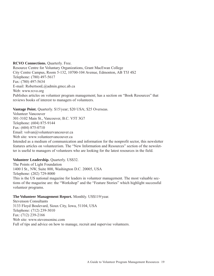**RCVO Connections.** Quarterly. Free. Resource Centre for Voluntary Organizations, Grant MacEwan College City Centre Campus, Room 5-132, 10700-104 Avenue, Edmonton, AB T5J 4S2 Telephone: (780) 497-5617 Fax: (780) 497-5634 E-mail: RobertsonL@admin.gmcc.ab.ca Web: www.rcvo.org Publishes articles on volunteer program management; has a section on "Book Resources" that reviews books of interest to managers of volunteers.

#### **Vantage Point.** Quarterly. \$15/year; \$20 USA; \$25 Overseas.

Volunteer Vancouver 301-3102 Main St., Vancouver, B.C. V5T 3G7 Telephone: (604) 875-9144 Fax: (604) 875-0710 Email: volvan@volunteervancouver.ca Web site: www.volunteervancouver.ca Intended as a medium of communication and information for the nonprofit sector, this newsletter features articles on volunteerism. The "New Information and Resources" section of the newsletter is useful to managers of volunteers who are looking for the latest resources in the field.

#### **Volunteer Leadership.** Quarterly. US\$32.

The Points of Light Foundation 1400 I St., NW, Suite 800, Washington D.C. 20005, USA Telephone: (202) 729-8000 This is the US national magazine for leaders in volunteer management. The most valuable sections of the magazine are: the "Workshop" and the "Feature Stories" which highlight successful volunteer programs.

#### **The Volunteer Management Report.** Monthly. US\$119/year.

Stevenson Consultants 3133 Floyd Boulevard, Sioux City, Iowa, 51104, USA Telephone: (712) 239-3010 Fax: (712) 239-2166 Web site: www.stevensoninc.com Full of tips and advice on how to manage, recruit and supervise volunteers.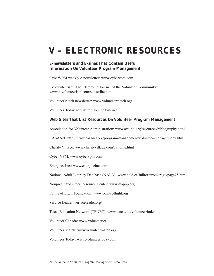# **V – ELECTRONIC RESOURCES**

# **E-newsletters and E-zines That Contain Useful Information On Volunteer Program Management**

CyberVPM weekly e-newsletter: www.cybervpm.com

E-Volunteerism: The Electronic Journal of the Volunteer Community: www.e-volunteerism.com/subscribe.html

VolunteerMatch newsletter: www.volunteermatch.org

Volunteer Today newsletter: lbunt@bmi.net

# **Web Sites That List Resources On Volunteer Program Management**

Association for Volunteer Administration: www.avaintl.org/resources/bibliography.html

CASANet: http://www.casanet.org/program-management/volunteer-manage/index.htm

Charity Village: www.charityvillage.com/cvhome.html

Cyber VPM: www.cybervpm.com

Energize, Inc.: www.energizeinc.com

National Adult Literacy Database (NALD): www.nald.ca/fulltext/vomaregu/page75.htm

Nonprofit Volunteer Resource Center: www.mapnp.org

Points of Light Foundation: www.pointsoflight.org

Service Leader: serviceleader.org/

Texas Education Network (TENET): www.tenet.edu/volunteer/index.html

Volunteer Canada: www.volunteer.ca

Volunteer Match: www.volunteermatch.org

Volunteer Today: www.volunteertoday.com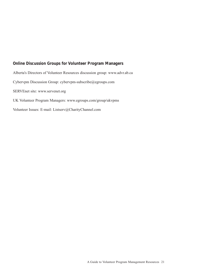# **Online Discussion Groups for Volunteer Program Managers**

Alberta's Directors of Volunteer Resources discussion group: www.advr.ab.ca Cybervpm Discussion Group: cybervpm-subscribe@egroups.com SERVEnet site: www.servenet.org UK Volunteer Program Managers: www.egroups.com/group/ukvpms Volunteer Issues: E-mail: Listserv@CharityChannel.com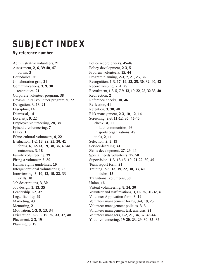# **SUBJECT INDEX**

**By reference number**

Administrative volunteers, **21** Assessment, **2**, **6**, **39**-**40**, **47** forms, **3** Boundaries, **26** Collaboration grid, **21** Communications, **3**, **9**, **30** techniques, **21** Corporate volunteer program, **38** Cross-cultural volunteer program, **9**, **22** Delegation, **3**, **13**, **21** Discipline, **14** Dismissal, **14** Diversity, **9**, **22** Employee volunteering, **28**, **38** Episodic volunteering, **7** Ethics, **1** Ethno-cultural volunteers, **9**, **22** Evaluation, **1**-**2**, **18**, **22**, **25**, **30**, **41** forms, **6**, **12**-**13**, **19**, **30**, **36**, **40**-**41** outcomes, **3**, **18** Family volunteering, **39** Firing a volunteer, **3**, **30** Human rights guidelines, **10** Intergenerational volunteering, **23** Interviewing, **3**, **10**, **13**, **19**, **22**, **33** skills, **10** Job descriptions, **3**, **30** Job design, **3**, **13**, **35** Leadership **1**-**2**, **37** Legal liability, **49** Marketing, **43** Mentoring, **2** Motivation, **1**-**3**, **9**, **13**, **34** Orientation, **2**-**3**, **8**, **19**, **25**, **33**, **37**, **40** Placement, **2**-**3**, **19** Planning, **3**, **19**

Police record checks, **45**-**46** Policy development, **2**-**3**, **5**  Problem volunteers, **15**, **44** Program planning, **2**-**3**, **7**, **21**, **25**, **36** Recognition, **1**-**3**, **17**, **19**, **22**, **25**, **30**, **32**, **40**, **42** Record keeping, **2**, **4**, **25** Recruitment, **1**-**3**, **5**, **7**-**9**, **13**, **19**, **22**, **25**, **32**-**33**, **40** Redirection, **2** Reference checks, **10**, **46** Reflection, **41** Retention, **3**, **30**, **40** Risk management, **2**-**3**, **10**, **12**, **14** Screening, **2**-**3**, **11**-**12**, **36**, **45**-**46** checklist, **11** in faith communities, **46** in sports organizations, **45** tools, **2**, **11** Selection, **2**, **3**, **19** Service-learning, **41** Skills development, **27**, **29**, **44** Special needs volunteers, **27**, **50** Supervision, **1**-**3**, **13**-**15**, **19**, **21**-**22**, **30**, **40** Team report form, **21** Training, **2**-**3**, **13**, **19**, **22**, **30**, **33**, **40** modules, **13** Transitional volunteers, **30** Union, **16** Virtual volunteering, **8**, **24**, **30** Volunteer and staff relations, **3**, **16**, **25**, **31**-**32**, **40** Volunteer Application form, **3**, **19** Volunteer management forms, **3**-**4**, **19**, **25** Volunteer management policies, **3**, **5** Volunteer management task analysis, **21** Volunteer managers, **1**-**2**, **21**, **34**, **37**, **43**-**44** Youth volunteering, **19**-**20**, **23**, **29**, **30**, **35**- **36**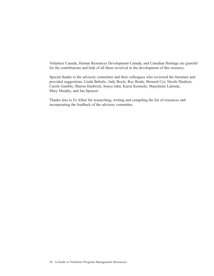Volunteer Canada, Human Resources Development Canada, and Canadian Heritage are grateful for the contributions and help of all those involved in the development of this resource.

Special thanks to the advisory committee and their colleagues who reviewed the literature and provided suggestions: Linda Babulic, Judy Boyle, Ray Brady, Bernard Cyr, Nicole Daubois, Carole Gamble, Sharon Haubrich, Sonya Jahn, Karen Kennedy, Marjolaine Lalonde, Mary Murphy, and Jan Spencer.

Thanks also to Fe Alluri for researching, writing and compiling the list of resources and incorporating the feedback of the advisory committee.